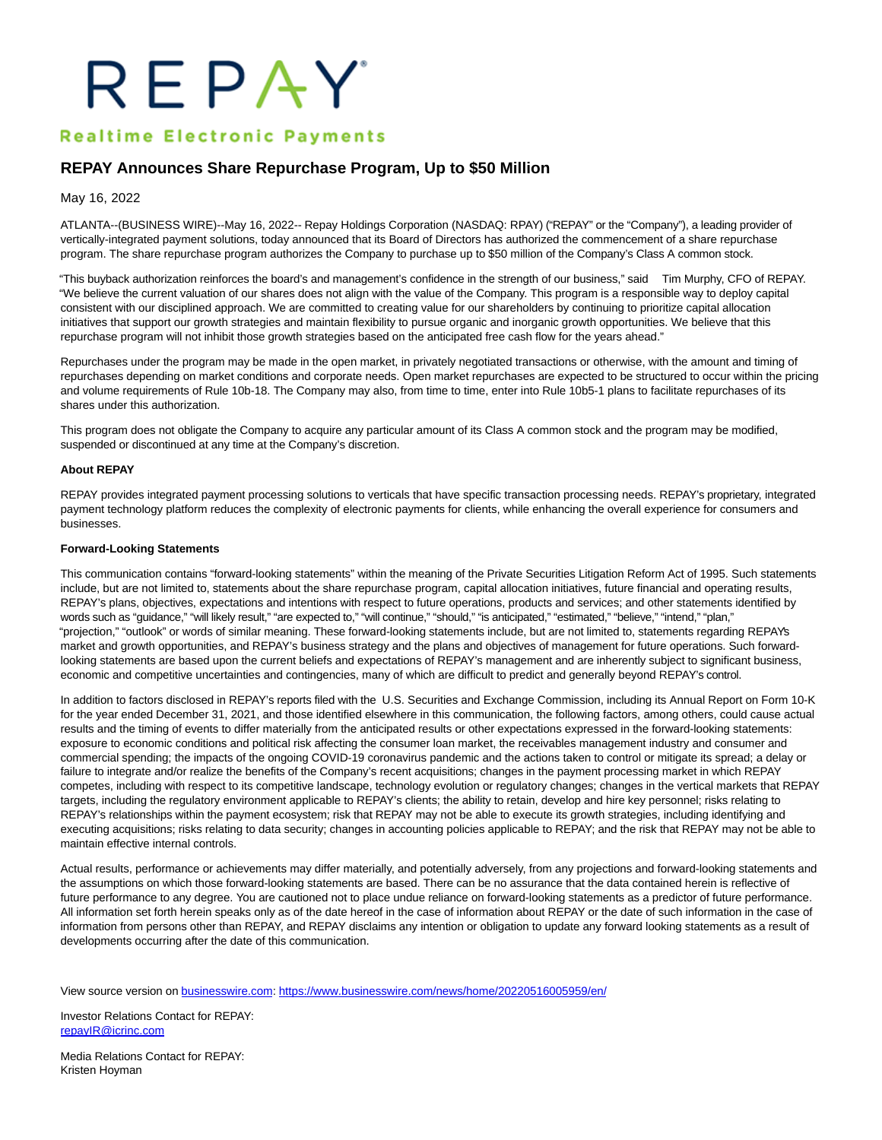# REPAY

## **Realtime Electronic Payments**

## **REPAY Announces Share Repurchase Program, Up to \$50 Million**

May 16, 2022

ATLANTA--(BUSINESS WIRE)--May 16, 2022-- Repay Holdings Corporation (NASDAQ: RPAY) ("REPAY" or the "Company"), a leading provider of vertically-integrated payment solutions, today announced that its Board of Directors has authorized the commencement of a share repurchase program. The share repurchase program authorizes the Company to purchase up to \$50 million of the Company's Class A common stock.

"This buyback authorization reinforces the board's and management's confidence in the strength of our business," said Tim Murphy, CFO of REPAY. "We believe the current valuation of our shares does not align with the value of the Company. This program is a responsible way to deploy capital consistent with our disciplined approach. We are committed to creating value for our shareholders by continuing to prioritize capital allocation initiatives that support our growth strategies and maintain flexibility to pursue organic and inorganic growth opportunities. We believe that this repurchase program will not inhibit those growth strategies based on the anticipated free cash flow for the years ahead."

Repurchases under the program may be made in the open market, in privately negotiated transactions or otherwise, with the amount and timing of repurchases depending on market conditions and corporate needs. Open market repurchases are expected to be structured to occur within the pricing and volume requirements of Rule 10b-18. The Company may also, from time to time, enter into Rule 10b5-1 plans to facilitate repurchases of its shares under this authorization.

This program does not obligate the Company to acquire any particular amount of its Class A common stock and the program may be modified, suspended or discontinued at any time at the Company's discretion.

#### **About REPAY**

REPAY provides integrated payment processing solutions to verticals that have specific transaction processing needs. REPAY's proprietary, integrated payment technology platform reduces the complexity of electronic payments for clients, while enhancing the overall experience for consumers and businesses.

### **Forward-Looking Statements**

This communication contains "forward-looking statements" within the meaning of the Private Securities Litigation Reform Act of 1995. Such statements include, but are not limited to, statements about the share repurchase program, capital allocation initiatives, future financial and operating results, REPAY's plans, objectives, expectations and intentions with respect to future operations, products and services; and other statements identified by words such as "guidance," "will likely result," "are expected to," "will continue," "should," "is anticipated," "estimated," "believe," "intend," "plan," "projection," "outlook" or words of similar meaning. These forward-looking statements include, but are not limited to, statements regarding REPAY's market and growth opportunities, and REPAY's business strategy and the plans and objectives of management for future operations. Such forwardlooking statements are based upon the current beliefs and expectations of REPAY's management and are inherently subject to significant business, economic and competitive uncertainties and contingencies, many of which are difficult to predict and generally beyond REPAY's control.

In addition to factors disclosed in REPAY's reports filed with the U.S. Securities and Exchange Commission, including its Annual Report on Form 10-K for the year ended December 31, 2021, and those identified elsewhere in this communication, the following factors, among others, could cause actual results and the timing of events to differ materially from the anticipated results or other expectations expressed in the forward-looking statements: exposure to economic conditions and political risk affecting the consumer loan market, the receivables management industry and consumer and commercial spending; the impacts of the ongoing COVID-19 coronavirus pandemic and the actions taken to control or mitigate its spread; a delay or failure to integrate and/or realize the benefits of the Company's recent acquisitions; changes in the payment processing market in which REPAY competes, including with respect to its competitive landscape, technology evolution or regulatory changes; changes in the vertical markets that REPAY targets, including the regulatory environment applicable to REPAY's clients; the ability to retain, develop and hire key personnel; risks relating to REPAY's relationships within the payment ecosystem; risk that REPAY may not be able to execute its growth strategies, including identifying and executing acquisitions; risks relating to data security; changes in accounting policies applicable to REPAY; and the risk that REPAY may not be able to maintain effective internal controls.

Actual results, performance or achievements may differ materially, and potentially adversely, from any projections and forward-looking statements and the assumptions on which those forward-looking statements are based. There can be no assurance that the data contained herein is reflective of future performance to any degree. You are cautioned not to place undue reliance on forward-looking statements as a predictor of future performance. All information set forth herein speaks only as of the date hereof in the case of information about REPAY or the date of such information in the case of information from persons other than REPAY, and REPAY disclaims any intention or obligation to update any forward looking statements as a result of developments occurring after the date of this communication.

View source version on [businesswire.com:](http://businesswire.com/)<https://www.businesswire.com/news/home/20220516005959/en/>

Investor Relations Contact for REPAY: [repayIR@icrinc.com](mailto:repayIR@icrinc.com)

Media Relations Contact for REPAY: Kristen Hoyman